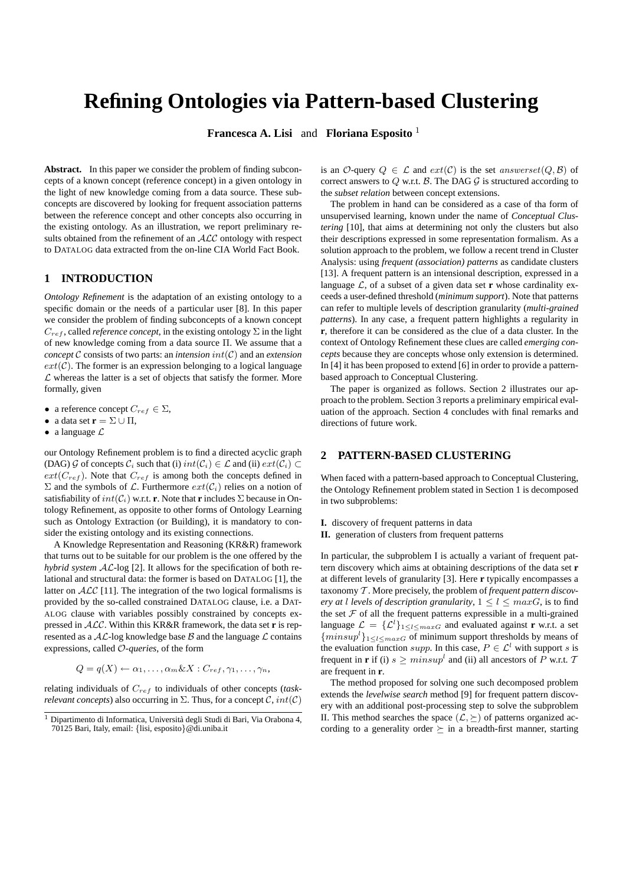# **Refining Ontologies via Pattern-based Clustering**

**Francesca A. Lisi** and **Floriana Esposito** <sup>1</sup>

**Abstract.** In this paper we consider the problem of finding subconcepts of a known concept (reference concept) in a given ontology in the light of new knowledge coming from a data source. These subconcepts are discovered by looking for frequent association patterns between the reference concept and other concepts also occurring in the existing ontology. As an illustration, we report preliminary results obtained from the refinement of an  $ALC$  ontology with respect to DATALOG data extracted from the on-line CIA World Fact Book.

## **1 INTRODUCTION**

*Ontology Refinement* is the adaptation of an existing ontology to a specific domain or the needs of a particular user [8]. In this paper we consider the problem of finding subconcepts of a known concept  $C_{ref}$ , called *reference concept*, in the existing ontology  $\Sigma$  in the light of new knowledge coming from a data source Π. We assume that a *concept*  $\mathcal C$  consists of two parts: an *intension*  $int(\mathcal C)$  and an *extension*  $ext(C)$ . The former is an expression belonging to a logical language  $\mathcal L$  whereas the latter is a set of objects that satisfy the former. More formally, given

- a reference concept  $C_{ref} \in \Sigma$ ,
- a data set  $\mathbf{r} = \Sigma \cup \Pi$ ,
- a language  $\mathcal L$

our Ontology Refinement problem is to find a directed acyclic graph (DAG)  $\mathcal G$  of concepts  $\mathcal C_i$  such that (i)  $int(\mathcal C_i) \in \mathcal L$  and (ii)  $ext(\mathcal C_i) \subset$  $ext(C_{ref})$ . Note that  $C_{ref}$  is among both the concepts defined in  $\Sigma$  and the symbols of  $\mathcal L$ . Furthermore  $ext(\mathcal{C}_i)$  relies on a notion of satisfiability of  $int(\mathcal{C}_i)$  w.r.t. **r**. Note that **r** includes  $\Sigma$  because in Ontology Refinement, as opposite to other forms of Ontology Learning such as Ontology Extraction (or Building), it is mandatory to consider the existing ontology and its existing connections.

A Knowledge Representation and Reasoning (KR&R) framework that turns out to be suitable for our problem is the one offered by the *hybrid system* AL-log [2]. It allows for the specification of both relational and structural data: the former is based on DATALOG [1], the latter on  $ALC$  [11]. The integration of the two logical formalisms is provided by the so-called constrained DATALOG clause, i.e. a DAT-ALOG clause with variables possibly constrained by concepts expressed in ALC. Within this KR&R framework, the data set **r** is represented as a  $AL$ -log knowledge base  $B$  and the language  $L$  contains expressions, called O*-queries*, of the form

$$
Q = q(X) \leftarrow \alpha_1, \dots, \alpha_m \& X : C_{ref}, \gamma_1, \dots, \gamma_n,
$$

relating individuals of Cref to individuals of other concepts (*taskrelevant concepts*) also occurring in  $\Sigma$ . Thus, for a concept  $\mathcal{C}$ ,  $int(\mathcal{C})$  is an O-query  $Q \in \mathcal{L}$  and  $ext(\mathcal{C})$  is the set answerset $(Q, \mathcal{B})$  of correct answers to  $Q$  w.r.t.  $B$ . The DAG  $G$  is structured according to the *subset relation* between concept extensions.

The problem in hand can be considered as a case of tha form of unsupervised learning, known under the name of *Conceptual Clustering* [10], that aims at determining not only the clusters but also their descriptions expressed in some representation formalism. As a solution approach to the problem, we follow a recent trend in Cluster Analysis: using *frequent (association) patterns* as candidate clusters [13]. A frequent pattern is an intensional description, expressed in a language  $\mathcal{L}$ , of a subset of a given data set **r** whose cardinality exceeds a user-defined threshold (*minimum support*). Note that patterns can refer to multiple levels of description granularity (*multi-grained patterns*). In any case, a frequent pattern highlights a regularity in **r**, therefore it can be considered as the clue of a data cluster. In the context of Ontology Refinement these clues are called *emerging concepts* because they are concepts whose only extension is determined. In [4] it has been proposed to extend [6] in order to provide a patternbased approach to Conceptual Clustering.

The paper is organized as follows. Section 2 illustrates our approach to the problem. Section 3 reports a preliminary empirical evaluation of the approach. Section 4 concludes with final remarks and directions of future work.

## **2 PATTERN-BASED CLUSTERING**

When faced with a pattern-based approach to Conceptual Clustering, the Ontology Refinement problem stated in Section 1 is decomposed in two subproblems:

**I.** discovery of frequent patterns in data

#### **II.** generation of clusters from frequent patterns

In particular, the subproblem I is actually a variant of frequent pattern discovery which aims at obtaining descriptions of the data set **r** at different levels of granularity [3]. Here **r** typically encompasses a taxonomy T . More precisely, the problem of *frequent pattern discovery at l levels of description granularity*,  $1 \leq l \leq maxG$ , is to find the set  $F$  of all the frequent patterns expressible in a multi-grained language  $\mathcal{L} = {\{\mathcal{L}^l\}}_{1 \leq l \leq maxG}$  and evaluated against **r** w.r.t. a set  $\{minsup^l\}_{1 \leq l \leq maxG}$  of minimum support thresholds by means of the evaluation function supp. In this case,  $P \in \mathcal{L}^l$  with support s is frequent in **r** if (i)  $s \geq minsup^l$  and (ii) all ancestors of P w.r.t. 7 are frequent in **r**.

The method proposed for solving one such decomposed problem extends the *levelwise search* method [9] for frequent pattern discovery with an additional post-processing step to solve the subproblem II. This method searches the space  $(\mathcal{L}, \succeq)$  of patterns organized according to a generality order  $\succeq$  in a breadth-first manner, starting

<sup>1</sup> Dipartimento di Informatica, Universita degli Studi di Bari, Via Orabona 4, ` 70125 Bari, Italy, email: {lisi, esposito}@di.uniba.it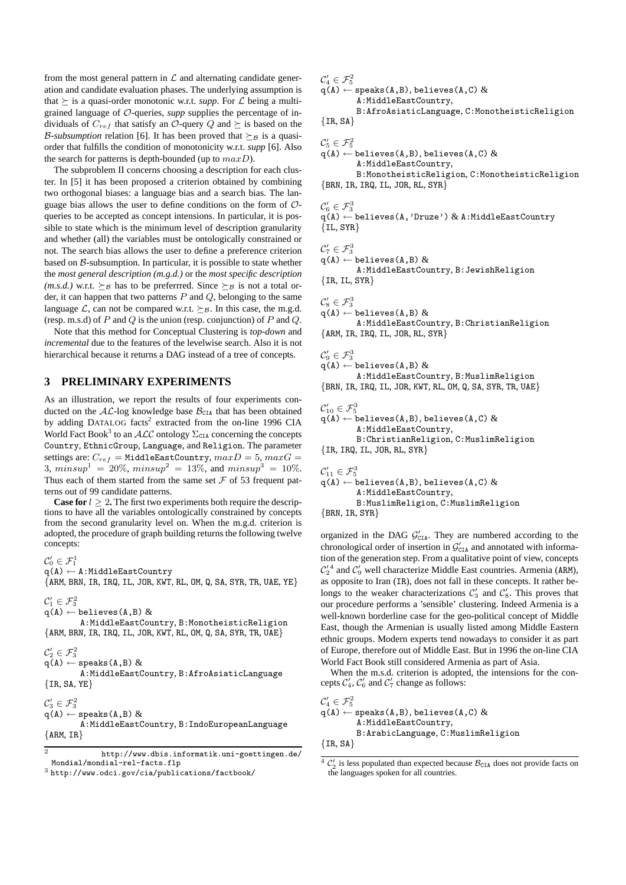from the most general pattern in  $\mathcal L$  and alternating candidate generation and candidate evaluation phases. The underlying assumption is that  $\succeq$  is a quasi-order monotonic w.r.t. *supp*. For  $\mathcal L$  being a multigrained language of O-queries, *supp* supplies the percentage of individuals of  $C_{ref}$  that satisfy an  $\mathcal{O}$ -query  $Q$  and  $\succeq$  is based on the *B-subsumption* relation [6]. It has been proved that  $\succeq_B$  is a quasiorder that fulfills the condition of monotonicity w.r.t. *supp* [6]. Also the search for patterns is depth-bounded (up to  $maxD$ ).

The subproblem II concerns choosing a description for each cluster. In [5] it has been proposed a criterion obtained by combining two orthogonal biases: a language bias and a search bias. The language bias allows the user to define conditions on the form of  $\mathcal{O}$ queries to be accepted as concept intensions. In particular, it is possible to state which is the minimum level of description granularity and whether (all) the variables must be ontologically constrained or not. The search bias allows the user to define a preference criterion based on  $\beta$ -subsumption. In particular, it is possible to state whether the *most general description (m.g.d.)* or the *most specific description (m.s.d.)* w.r.t.  $\succeq_B$  has to be preferrred. Since  $\succeq_B$  is not a total order, it can happen that two patterns  $P$  and  $Q$ , belonging to the same language  $\mathcal{L}$ , can not be compared w.r.t.  $\succeq_{\mathcal{B}}$ . In this case, the m.g.d. (resp. m.s.d) of  $P$  and  $Q$  is the union (resp. conjunction) of  $P$  and  $Q$ .

Note that this method for Conceptual Clustering is *top-down* and *incremental* due to the features of the levelwise search. Also it is not hierarchical because it returns a DAG instead of a tree of concepts.

#### **3 PRELIMINARY EXPERIMENTS**

As an illustration, we report the results of four experiments conducted on the  $AL$ -log knowledge base  $B<sub>CIA</sub>$  that has been obtained by adding DATALOG facts<sup>2</sup> extracted from the on-line 1996 CIA World Fact Book<sup>3</sup> to an  $\mathcal{ALC}$  ontology  $\Sigma_{\texttt{CIA}}$  concerning the concepts Country, EthnicGroup, Language, and Religion. The parameter settings are:  $C_{ref}$  = MiddleEastCountry,  $maxD = 5, maxG =$ 3,  $minsup<sup>1</sup> = 20\%$ ,  $minsup<sup>2</sup> = 13\%$ , and  $minsup<sup>3</sup> = 10\%$ . Thus each of them started from the same set  $\mathcal F$  of 53 frequent patterns out of 99 candidate patterns.

**Case for**  $l > 2$ . The first two experiments both require the descriptions to have all the variables ontologically constrained by concepts from the second granularity level on. When the m.g.d. criterion is adopted, the procedure of graph building returns the following twelve concepts:

 $\mathcal{C}_0' \in \mathcal{F}_1^1$ 

 $q(A) \leftarrow A$ : MiddleEastCountry

 ${ARM, BRN, IR, IRQ, IL, JOR, KWT, RL, OM, Q, SA, SYR, TR, UAE, YE}$ 

# $\mathcal{C}'_1 \in \mathcal{F}^2_3$

 $q(A) \leftarrow$  believes(A,B) & A:MiddleEastCountry, B:MonotheisticReligion  ${ARM, BRN, IR, IRQ, IL, JOR, KWT, RL, OM, Q, SA, SYR, TR, UAE}$ 

## $\mathcal{C}_{2}^{\prime}\in\mathcal{F}_{3}^{2}$

 $q(A) \leftarrow$  speaks(A,B) & A:MiddleEastCountry, B:AfroAsiaticLanguage  $\{IR, SA, YE\}$ 

 $\mathcal{C}_3' \in \mathcal{F}_3^2$  $q(A) \leftarrow$  speaks(A,B) & A:MiddleEastCountry, B:IndoEuropeanLanguage  ${ARM, IR}$ 

```
2 http://www.dbis.informatik.uni-goettingen.de/
 Mondial/mondial-rel-facts.flp
```

```
^3http://www.odci.gov/cia/publications/factbook/
```
 $\mathcal{C}_4' \in \mathcal{F}_5^2$ 

#### $q(A) \leftarrow$  speaks(A,B), believes(A,C) & A:MiddleEastCountry,

B:AfroAsiaticLanguage, C:MonotheisticReligion  $\{IR, SA\}$ 

# $\mathcal{C}_5' \in \mathcal{F}_5^2$

 $q(A) \leftarrow$  believes(A,B), believes(A,C) & A:MiddleEastCountry,

B:MonotheisticReligion, C:MonotheisticReligion  ${BRN, IR, IRQ, IL, JOR, RL, SYR}$ 

## $\mathcal{C}_{6}' \in \mathcal{F}_{3}^{3}$

 $q(A) \leftarrow$  believes(A,'Druze') & A:MiddleEastCountry  $\{IL, SYR\}$ 

 $\mathcal{C}_7' \in \mathcal{F}_3^3$ 

 $q(A) \leftarrow$  believes(A,B) & A:MiddleEastCountry, B:JewishReligion  ${IR, IL, SYR}$ 

 $\mathcal{C}'_8 \in \mathcal{F}^3_3$ 

 $q(A) \leftarrow$  believes(A,B) & A:MiddleEastCountry, B:ChristianReligion  ${ARM, IR, IRQ, IL, JOR, RL, SYR}$ 

 $\mathcal{C}_{9}' \in \mathcal{F}_{3}^{3}$  $q(A) \leftarrow$  believes(A,B) &

A:MiddleEastCountry, B:MuslimReligion {BRN, IR, IRQ, IL, JOR, KWT, RL, OM, Q, SA, SYR, TR, UAE}

 $\mathcal{C}_{10}' \in \mathcal{F}_5^3$ 

 $q(A) \leftarrow$  believes(A,B), believes(A,C) & A:MiddleEastCountry, B:ChristianReligion, C:MuslimReligion  ${IR, IRQ, IL, JOR, RL, SYR}$ 

 $\mathcal{C}_{11}' \in \mathcal{F}_5^3$  $q(A) \leftarrow$  believes(A,B), believes(A,C)  $\&$ A:MiddleEastCountry, B:MuslimReligion, C:MuslimReligion {BRN, IR, SYR}

organized in the DAG  $G'_{\text{CIA}}$ . They are numbered according to the chronological order of insertion in  $\mathcal{G}_{\texttt{CIA}}'$  and annotated with information of the generation step. From a qualitative point of view, concepts  $\mathcal{C}'_2$ <sup>4</sup> and  $\mathcal{C}'_9$  well characterize Middle East countries. Armenia (ARM), as opposite to Iran (IR), does not fall in these concepts. It rather belongs to the weaker characterizations  $C'_3$  and  $C'_8$ . This proves that our procedure performs a 'sensible' clustering. Indeed Armenia is a well-known borderline case for the geo-political concept of Middle East, though the Armenian is usually listed among Middle Eastern ethnic groups. Modern experts tend nowadays to consider it as part of Europe, therefore out of Middle East. But in 1996 the on-line CIA World Fact Book still considered Armenia as part of Asia.

When the m.s.d. criterion is adopted, the intensions for the concepts  $C_4$ ,  $C_6$  and  $C_7$  change as follows:

```
\mathcal{C}_4' \in \mathcal{F}_5^2q(A) \leftarrow speaks(A,B), believes(A,C) &
          A:MiddleEastCountry,
          B:ArabicLanguage, C:MuslimReligion
\{IR, SA\}
```
 $^{4}$  C<sub>2</sub><sup> $^{4}$ </sup> is less populated than expected because  $B_{CIA}$  does not provide facts on the languages spoken for all countries.